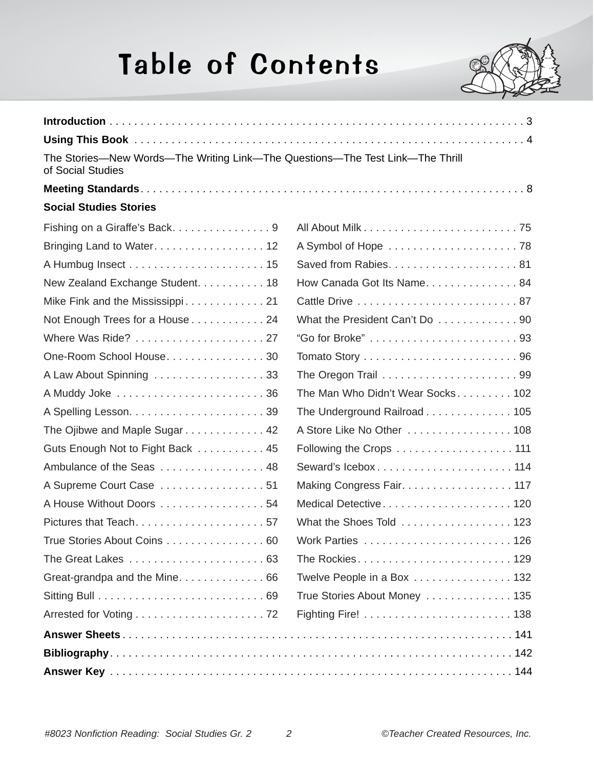## Table of Contents



| The Stories-New Words-The Writing Link-The Questions-The Test Link-The Thrill<br>of Social Studies |                                   |
|----------------------------------------------------------------------------------------------------|-----------------------------------|
|                                                                                                    |                                   |
| <b>Social Studies Stories</b>                                                                      |                                   |
| Fishing on a Giraffe's Back9                                                                       |                                   |
|                                                                                                    |                                   |
|                                                                                                    |                                   |
| New Zealand Exchange Student. 18                                                                   | How Canada Got Its Name. 84       |
| Mike Fink and the Mississippi 21                                                                   |                                   |
| Not Enough Trees for a House 24                                                                    | What the President Can't Do  90   |
| Where Was Ride?  27                                                                                |                                   |
| One-Room School House30                                                                            |                                   |
| A Law About Spinning  33                                                                           |                                   |
|                                                                                                    | The Man Who Didn't Wear Socks 102 |
|                                                                                                    | The Underground Railroad 105      |
| The Ojibwe and Maple Sugar 42                                                                      | A Store Like No Other  108        |
| Guts Enough Not to Fight Back 45                                                                   | Following the Crops 111           |
| Ambulance of the Seas  48                                                                          | Seward's Icebox 114               |
| A Supreme Court Case  51                                                                           | Making Congress Fair. 117         |
| A House Without Doors 54                                                                           | Medical Detective120              |
|                                                                                                    | What the Shoes Told 123           |
| True Stories About Coins 60                                                                        |                                   |
|                                                                                                    | The Rockies129                    |
| Great-grandpa and the Mine. 66                                                                     | Twelve People in a Box  132       |
|                                                                                                    | True Stories About Money 135      |
|                                                                                                    |                                   |
|                                                                                                    |                                   |
|                                                                                                    |                                   |
|                                                                                                    |                                   |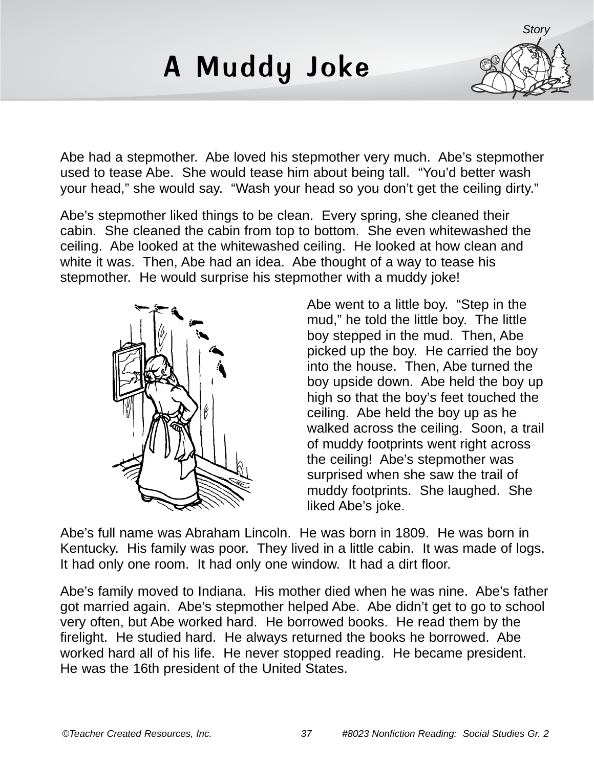## A Muddy Joke



Abe had a stepmother. Abe loved his stepmother very much. Abe's stepmother used to tease Abe. She would tease him about being tall. "You'd better wash your head," she would say. "Wash your head so you don't get the ceiling dirty."

Abe's stepmother liked things to be clean. Every spring, she cleaned their cabin. She cleaned the cabin from top to bottom. She even whitewashed the ceiling. Abe looked at the whitewashed ceiling. He looked at how clean and white it was. Then, Abe had an idea. Abe thought of a way to tease his stepmother. He would surprise his stepmother with a muddy joke!



Abe went to a little boy. "Step in the mud," he told the little boy. The little boy stepped in the mud. Then, Abe picked up the boy. He carried the boy into the house. Then, Abe turned the boy upside down. Abe held the boy up high so that the boy's feet touched the ceiling. Abe held the boy up as he walked across the ceiling. Soon, a trail of muddy footprints went right across the ceiling! Abe's stepmother was surprised when she saw the trail of muddy footprints. She laughed. She liked Abe's joke.

Abe's full name was Abraham Lincoln. He was born in 1809. He was born in Kentucky. His family was poor. They lived in a little cabin. It was made of logs. It had only one room. It had only one window. It had a dirt floor.

Abe's family moved to Indiana. His mother died when he was nine. Abe's father got married again. Abe's stepmother helped Abe. Abe didn't get to go to school very often, but Abe worked hard. He borrowed books. He read them by the firelight. He studied hard. He always returned the books he borrowed. Abe worked hard all of his life. He never stopped reading. He became president. He was the 16th president of the United States.